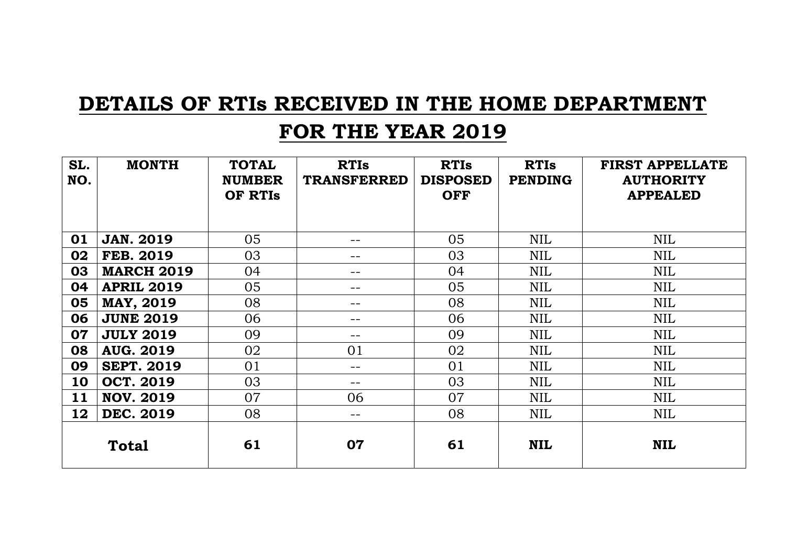# **DETAILS OF RTIs RECEIVED IN THE HOME DEPARTMENT**

#### **FOR THE YEAR 2019**

| SL.<br>NO.   | <b>MONTH</b>      | <b>TOTAL</b><br><b>NUMBER</b><br>OF RTIS | <b>RTIs</b><br><b>TRANSFERRED</b> | <b>RTIs</b><br><b>DISPOSED</b><br><b>OFF</b> | <b>RTIs</b><br><b>PENDING</b> | <b>FIRST APPELLATE</b><br><b>AUTHORITY</b><br><b>APPEALED</b> |
|--------------|-------------------|------------------------------------------|-----------------------------------|----------------------------------------------|-------------------------------|---------------------------------------------------------------|
| 01           | <b>JAN. 2019</b>  | 05                                       | --                                | 05                                           | <b>NIL</b>                    | <b>NIL</b>                                                    |
| 02           | <b>FEB. 2019</b>  | 03                                       | --                                | 03                                           | <b>NIL</b>                    | <b>NIL</b>                                                    |
| 03           | <b>MARCH 2019</b> | 04                                       | --                                | 04                                           | <b>NIL</b>                    | NIL                                                           |
| 04           | <b>APRIL 2019</b> | 05                                       | --                                | 05                                           | <b>NIL</b>                    | <b>NIL</b>                                                    |
| 05           | <b>MAY, 2019</b>  | 08                                       | --                                | 08                                           | <b>NIL</b>                    | <b>NIL</b>                                                    |
| 06           | <b>JUNE 2019</b>  | 06                                       | --                                | 06                                           | <b>NIL</b>                    | NIL                                                           |
| 07           | <b>JULY 2019</b>  | 09                                       | --                                | 09                                           | <b>NIL</b>                    | <b>NIL</b>                                                    |
| 08           | <b>AUG. 2019</b>  | 02                                       | 01                                | 02                                           | <b>NIL</b>                    | NIL                                                           |
| 09           | <b>SEPT. 2019</b> | 01                                       | --                                | 01                                           | <b>NIL</b>                    | NIL                                                           |
| 10           | <b>OCT. 2019</b>  | 03                                       | --                                | 03                                           | <b>NIL</b>                    | NIL                                                           |
| 11           | <b>NOV. 2019</b>  | 07                                       | 06                                | 07                                           | <b>NIL</b>                    | <b>NIL</b>                                                    |
| 12           | <b>DEC. 2019</b>  | 08                                       | $- -$                             | 08                                           | <b>NIL</b>                    | <b>NIL</b>                                                    |
| <b>Total</b> |                   | 61                                       | 07                                | 61                                           | <b>NIL</b>                    | <b>NIL</b>                                                    |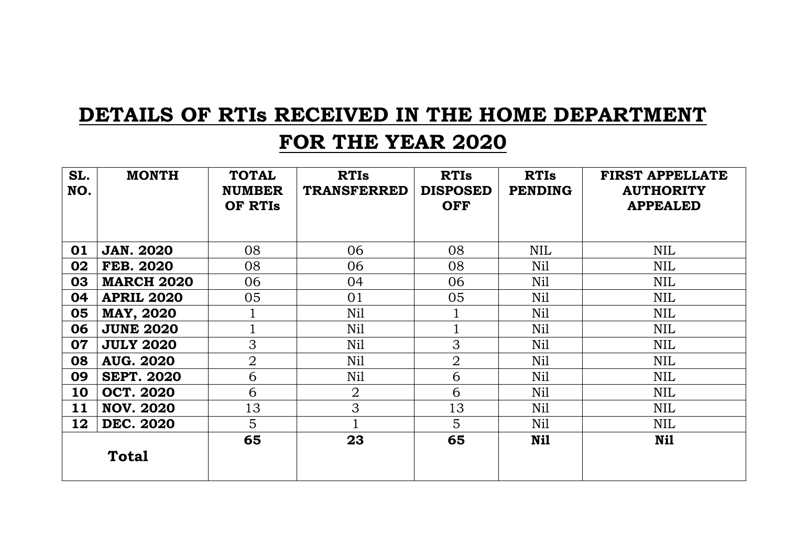# **DETAILS OF RTIs RECEIVED IN THE HOME DEPARTMENT**

### **FOR THE YEAR 2020**

| SL.<br>NO. | <b>MONTH</b>      | <b>TOTAL</b><br><b>NUMBER</b><br>OF RTIS | <b>RTIs</b><br><b>TRANSFERRED</b> | <b>RTIs</b><br><b>DISPOSED</b><br><b>OFF</b> | <b>RTIs</b><br><b>PENDING</b> | <b>FIRST APPELLATE</b><br><b>AUTHORITY</b><br><b>APPEALED</b> |
|------------|-------------------|------------------------------------------|-----------------------------------|----------------------------------------------|-------------------------------|---------------------------------------------------------------|
| 01         | <b>JAN. 2020</b>  | 08                                       | 06                                | 08                                           | <b>NIL</b>                    | <b>NIL</b>                                                    |
| 02         | <b>FEB. 2020</b>  | 08                                       | 06                                | 08                                           | Nil                           | <b>NIL</b>                                                    |
| 03         | <b>MARCH 2020</b> | 06                                       | 04                                | 06                                           | Nil                           | <b>NIL</b>                                                    |
| 04         | <b>APRIL 2020</b> | 05                                       | 01                                | 05                                           | Nil                           | <b>NIL</b>                                                    |
| 05         | <b>MAY, 2020</b>  |                                          | Nil                               |                                              | Nil                           | <b>NIL</b>                                                    |
| 06         | <b>JUNE 2020</b>  |                                          | Nil                               |                                              | Nil                           | <b>NIL</b>                                                    |
| 07         | <b>JULY 2020</b>  | 3                                        | Nil                               | 3                                            | Nil                           | <b>NIL</b>                                                    |
| 08         | <b>AUG. 2020</b>  | $\overline{2}$                           | Nil                               | $\overline{2}$                               | Nil                           | <b>NIL</b>                                                    |
| 09         | <b>SEPT. 2020</b> | 6                                        | Nil                               | 6                                            | Nil                           | <b>NIL</b>                                                    |
| 10         | <b>OCT. 2020</b>  | 6                                        | $\overline{2}$                    | 6                                            | Nil                           | <b>NIL</b>                                                    |
| 11         | <b>NOV. 2020</b>  | 13                                       | 3                                 | 13                                           | Nil                           | <b>NIL</b>                                                    |
| 12         | <b>DEC. 2020</b>  | 5                                        |                                   | 5                                            | Nil                           | <b>NIL</b>                                                    |
|            | <b>Total</b>      | 65                                       | 23                                | 65                                           | Nil                           | Ni1                                                           |